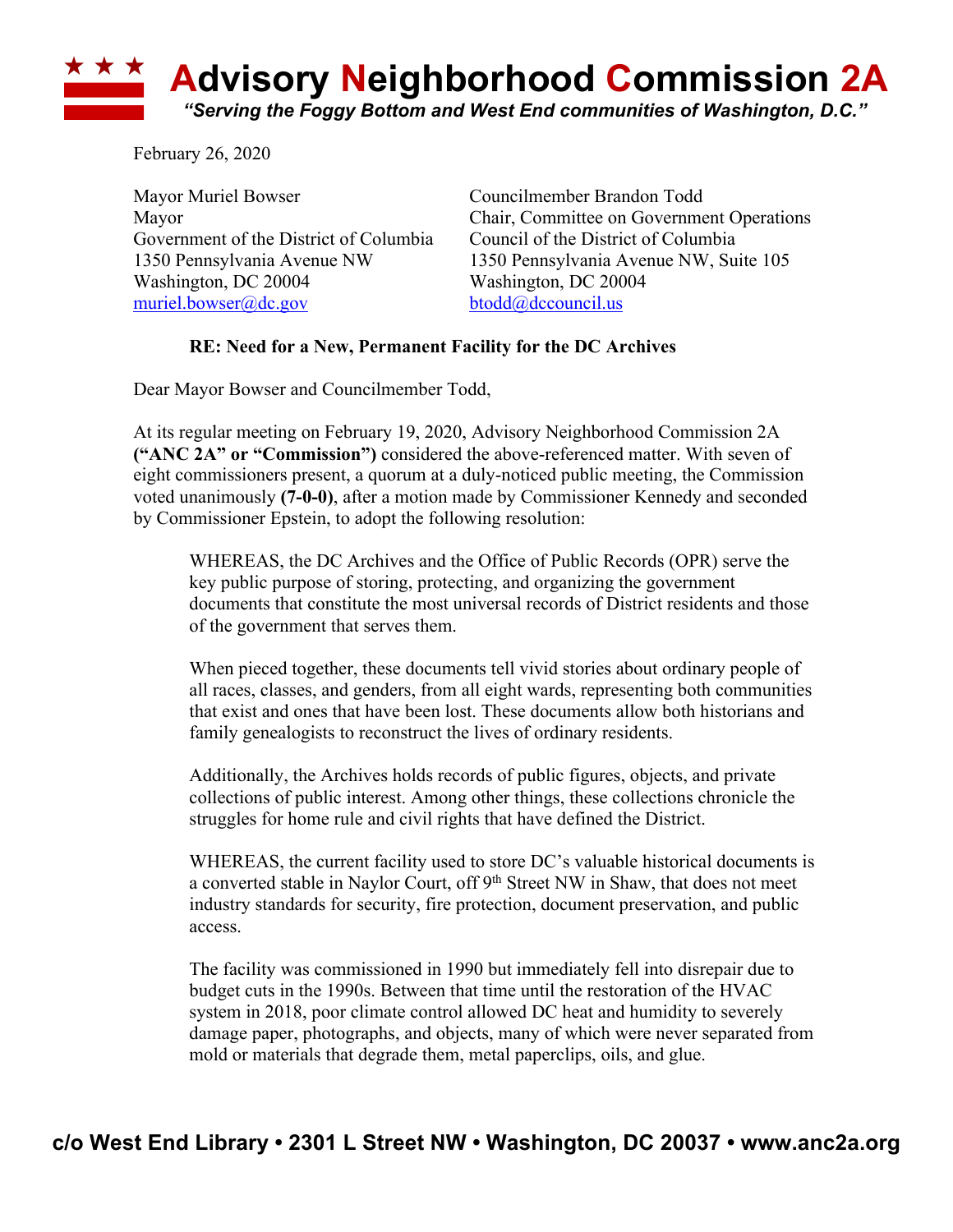## **Advisory Neighborhood Commission 2A** *"Serving the Foggy Bottom and West End communities of Washington, D.C."*

February 26, 2020

Mayor Muriel Bowser Councilmember Brandon Todd Government of the District of Columbia Council of the District of Columbia Washington, DC 20004 Washington, DC 20004 muriel.bowser@dc.gov btodd@dccouncil.us

Mayor Chair, Committee on Government Operations 1350 Pennsylvania Avenue NW 1350 Pennsylvania Avenue NW, Suite 105

## **RE: Need for a New, Permanent Facility for the DC Archives**

Dear Mayor Bowser and Councilmember Todd,

At its regular meeting on February 19, 2020, Advisory Neighborhood Commission 2A **("ANC 2A" or "Commission")** considered the above-referenced matter. With seven of eight commissioners present, a quorum at a duly-noticed public meeting, the Commission voted unanimously **(7-0-0)**, after a motion made by Commissioner Kennedy and seconded by Commissioner Epstein, to adopt the following resolution:

WHEREAS, the DC Archives and the Office of Public Records (OPR) serve the key public purpose of storing, protecting, and organizing the government documents that constitute the most universal records of District residents and those of the government that serves them.

When pieced together, these documents tell vivid stories about ordinary people of all races, classes, and genders, from all eight wards, representing both communities that exist and ones that have been lost. These documents allow both historians and family genealogists to reconstruct the lives of ordinary residents.

Additionally, the Archives holds records of public figures, objects, and private collections of public interest. Among other things, these collections chronicle the struggles for home rule and civil rights that have defined the District.

WHEREAS, the current facility used to store DC's valuable historical documents is a converted stable in Naylor Court, off 9<sup>th</sup> Street NW in Shaw, that does not meet industry standards for security, fire protection, document preservation, and public access.

The facility was commissioned in 1990 but immediately fell into disrepair due to budget cuts in the 1990s. Between that time until the restoration of the HVAC system in 2018, poor climate control allowed DC heat and humidity to severely damage paper, photographs, and objects, many of which were never separated from mold or materials that degrade them, metal paperclips, oils, and glue.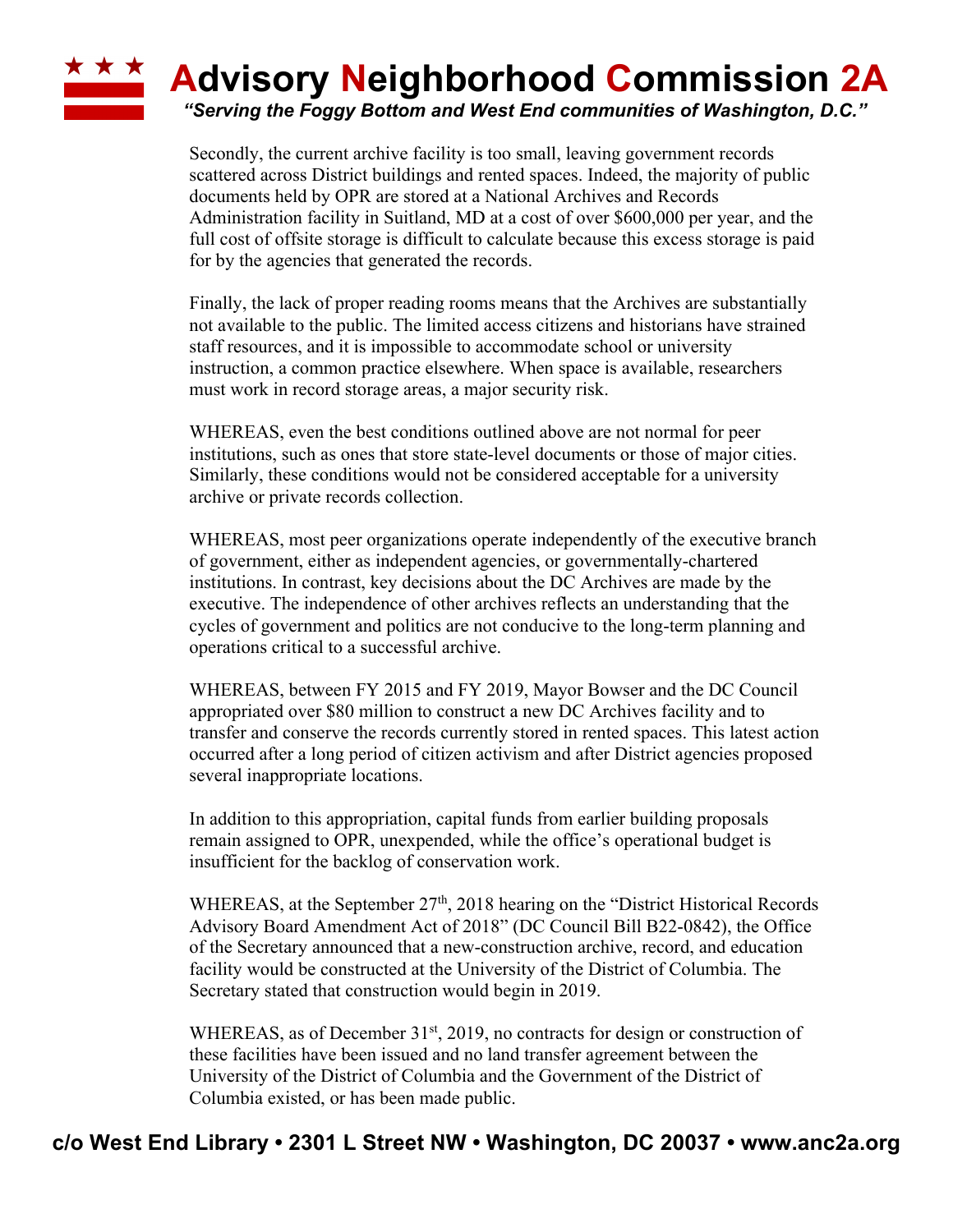## **\* \* \* Advisory Neighborhood Commission 2A**

*"Serving the Foggy Bottom and West End communities of Washington, D.C."*

Secondly, the current archive facility is too small, leaving government records scattered across District buildings and rented spaces. Indeed, the majority of public documents held by OPR are stored at a National Archives and Records Administration facility in Suitland, MD at a cost of over \$600,000 per year, and the full cost of offsite storage is difficult to calculate because this excess storage is paid for by the agencies that generated the records.

Finally, the lack of proper reading rooms means that the Archives are substantially not available to the public. The limited access citizens and historians have strained staff resources, and it is impossible to accommodate school or university instruction, a common practice elsewhere. When space is available, researchers must work in record storage areas, a major security risk.

WHEREAS, even the best conditions outlined above are not normal for peer institutions, such as ones that store state-level documents or those of major cities. Similarly, these conditions would not be considered acceptable for a university archive or private records collection.

WHEREAS, most peer organizations operate independently of the executive branch of government, either as independent agencies, or governmentally-chartered institutions. In contrast, key decisions about the DC Archives are made by the executive. The independence of other archives reflects an understanding that the cycles of government and politics are not conducive to the long-term planning and operations critical to a successful archive.

WHEREAS, between FY 2015 and FY 2019, Mayor Bowser and the DC Council appropriated over \$80 million to construct a new DC Archives facility and to transfer and conserve the records currently stored in rented spaces. This latest action occurred after a long period of citizen activism and after District agencies proposed several inappropriate locations.

In addition to this appropriation, capital funds from earlier building proposals remain assigned to OPR, unexpended, while the office's operational budget is insufficient for the backlog of conservation work.

WHEREAS, at the September  $27<sup>th</sup>$ , 2018 hearing on the "District Historical Records" Advisory Board Amendment Act of 2018" (DC Council Bill B22-0842), the Office of the Secretary announced that a new-construction archive, record, and education facility would be constructed at the University of the District of Columbia. The Secretary stated that construction would begin in 2019.

WHEREAS, as of December 31<sup>st</sup>, 2019, no contracts for design or construction of these facilities have been issued and no land transfer agreement between the University of the District of Columbia and the Government of the District of Columbia existed, or has been made public.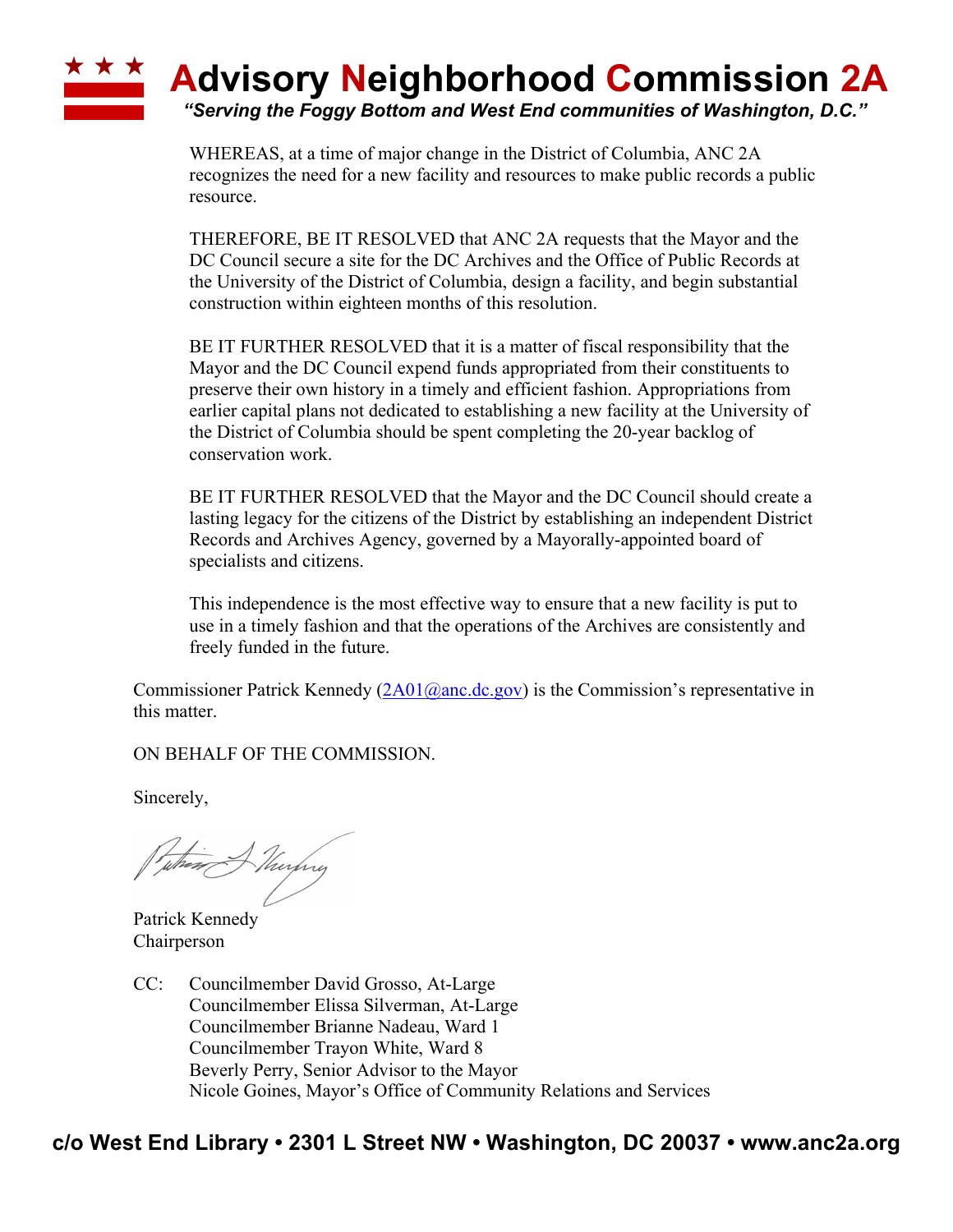## **Advisory Neighborhood Commission 2A** *"Serving the Foggy Bottom and West End communities of Washington, D.C."*

WHEREAS, at a time of major change in the District of Columbia, ANC 2A recognizes the need for a new facility and resources to make public records a public resource.

THEREFORE, BE IT RESOLVED that ANC 2A requests that the Mayor and the DC Council secure a site for the DC Archives and the Office of Public Records at the University of the District of Columbia, design a facility, and begin substantial construction within eighteen months of this resolution.

BE IT FURTHER RESOLVED that it is a matter of fiscal responsibility that the Mayor and the DC Council expend funds appropriated from their constituents to preserve their own history in a timely and efficient fashion. Appropriations from earlier capital plans not dedicated to establishing a new facility at the University of the District of Columbia should be spent completing the 20-year backlog of conservation work.

BE IT FURTHER RESOLVED that the Mayor and the DC Council should create a lasting legacy for the citizens of the District by establishing an independent District Records and Archives Agency, governed by a Mayorally-appointed board of specialists and citizens.

This independence is the most effective way to ensure that a new facility is put to use in a timely fashion and that the operations of the Archives are consistently and freely funded in the future.

Commissioner Patrick Kennedy  $(2A01@anc.de.gov)$  is the Commission's representative in this matter.

ON BEHALF OF THE COMMISSION.

Sincerely,

tuthear Alburghry

Patrick Kennedy Chairperson

CC: Councilmember David Grosso, At-Large Councilmember Elissa Silverman, At-Large Councilmember Brianne Nadeau, Ward 1 Councilmember Trayon White, Ward 8 Beverly Perry, Senior Advisor to the Mayor Nicole Goines, Mayor's Office of Community Relations and Services

**c/o West End Library • 2301 L Street NW • Washington, DC 20037 • www.anc2a.org**